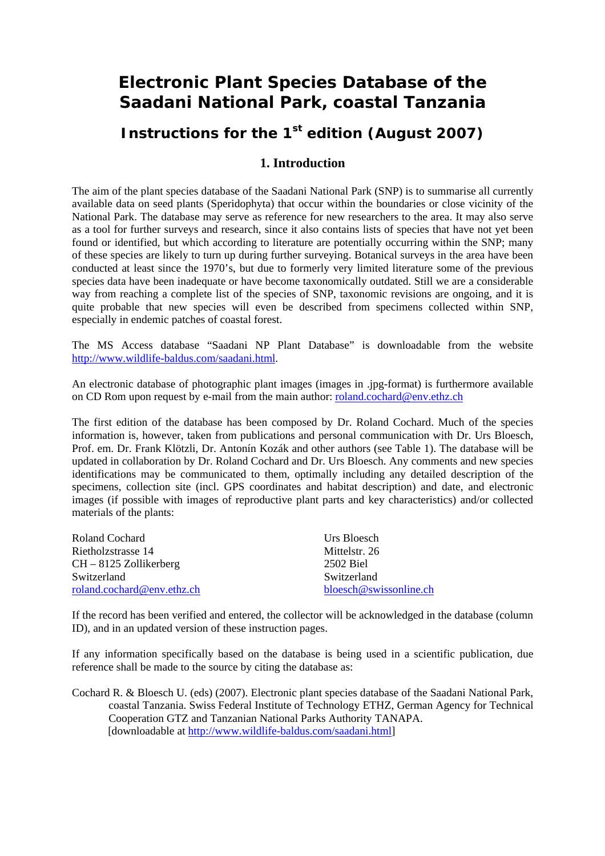# **Electronic Plant Species Database of the Saadani National Park, coastal Tanzania**

# **Instructions for the 1<sup>st</sup> edition (August 2007)**

# **1. Introduction**

The aim of the plant species database of the Saadani National Park (SNP) is to summarise all currently available data on seed plants (Speridophyta) that occur within the boundaries or close vicinity of the National Park. The database may serve as reference for new researchers to the area. It may also serve as a tool for further surveys and research, since it also contains lists of species that have not yet been found or identified, but which according to literature are potentially occurring within the SNP; many of these species are likely to turn up during further surveying. Botanical surveys in the area have been conducted at least since the 1970's, but due to formerly very limited literature some of the previous species data have been inadequate or have become taxonomically outdated. Still we are a considerable way from reaching a complete list of the species of SNP, taxonomic revisions are ongoing, and it is quite probable that new species will even be described from specimens collected within SNP, especially in endemic patches of coastal forest.

The MS Access database "Saadani NP Plant Database" is downloadable from the website http://www.wildlife-baldus.com/saadani.html.

An electronic database of photographic plant images (images in .jpg-format) is furthermore available on CD Rom upon request by e-mail from the main author: roland.cochard@env.ethz.ch

The first edition of the database has been composed by Dr. Roland Cochard. Much of the species information is, however, taken from publications and personal communication with Dr. Urs Bloesch, Prof. em. Dr. Frank Klötzli, Dr. Antonín Kozák and other authors (see Table 1). The database will be updated in collaboration by Dr. Roland Cochard and Dr. Urs Bloesch. Any comments and new species identifications may be communicated to them, optimally including any detailed description of the specimens, collection site (incl. GPS coordinates and habitat description) and date, and electronic images (if possible with images of reproductive plant parts and key characteristics) and/or collected materials of the plants:

| Roland Cochard             | Urs Bloesch            |
|----------------------------|------------------------|
| Rietholzstrasse 14         | Mittelstr. 26          |
| $CH - 8125$ Zollikerberg   | 2502 Biel              |
| Switzerland                | Switzerland            |
| roland.cochard@env.ethz.ch | bloesch@swissonline.ch |

If the record has been verified and entered, the collector will be acknowledged in the database (column ID), and in an updated version of these instruction pages.

If any information specifically based on the database is being used in a scientific publication, due reference shall be made to the source by citing the database as:

Cochard R. & Bloesch U. (eds) (2007). Electronic plant species database of the Saadani National Park, coastal Tanzania. Swiss Federal Institute of Technology ETHZ, German Agency for Technical Cooperation GTZ and Tanzanian National Parks Authority TANAPA. [downloadable at http://www.wildlife-baldus.com/saadani.html]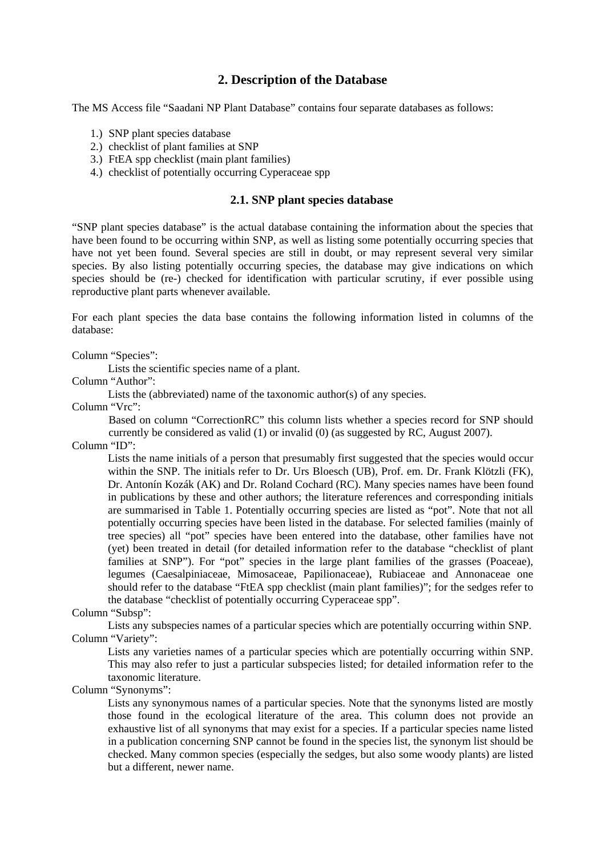# **2. Description of the Database**

The MS Access file "Saadani NP Plant Database" contains four separate databases as follows:

- 1.) SNP plant species database
- 2.) checklist of plant families at SNP
- 3.) FtEA spp checklist (main plant families)
- 4.) checklist of potentially occurring Cyperaceae spp

# **2.1. SNP plant species database**

"SNP plant species database" is the actual database containing the information about the species that have been found to be occurring within SNP, as well as listing some potentially occurring species that have not yet been found. Several species are still in doubt, or may represent several very similar species. By also listing potentially occurring species, the database may give indications on which species should be (re-) checked for identification with particular scrutiny, if ever possible using reproductive plant parts whenever available.

For each plant species the data base contains the following information listed in columns of the database:

#### Column "Species":

Lists the scientific species name of a plant.

Column "Author":

Lists the (abbreviated) name of the taxonomic author(s) of any species.

Column "Vrc":

 Based on column "CorrectionRC" this column lists whether a species record for SNP should currently be considered as valid (1) or invalid (0) (as suggested by RC, August 2007).

Column "ID":

Lists the name initials of a person that presumably first suggested that the species would occur within the SNP. The initials refer to Dr. Urs Bloesch (UB), Prof. em. Dr. Frank Klötzli (FK), Dr. Antonín Kozák (AK) and Dr. Roland Cochard (RC). Many species names have been found in publications by these and other authors; the literature references and corresponding initials are summarised in Table 1. Potentially occurring species are listed as "pot". Note that not all potentially occurring species have been listed in the database. For selected families (mainly of tree species) all "pot" species have been entered into the database, other families have not (yet) been treated in detail (for detailed information refer to the database "checklist of plant families at SNP"). For "pot" species in the large plant families of the grasses (Poaceae), legumes (Caesalpiniaceae, Mimosaceae, Papilionaceae), Rubiaceae and Annonaceae one should refer to the database "FtEA spp checklist (main plant families)"; for the sedges refer to the database "checklist of potentially occurring Cyperaceae spp".

#### Column "Subsp":

Lists any subspecies names of a particular species which are potentially occurring within SNP. Column "Variety":

Lists any varieties names of a particular species which are potentially occurring within SNP. This may also refer to just a particular subspecies listed; for detailed information refer to the taxonomic literature.

Column "Synonyms":

Lists any synonymous names of a particular species. Note that the synonyms listed are mostly those found in the ecological literature of the area. This column does not provide an exhaustive list of all synonyms that may exist for a species. If a particular species name listed in a publication concerning SNP cannot be found in the species list, the synonym list should be checked. Many common species (especially the sedges, but also some woody plants) are listed but a different, newer name.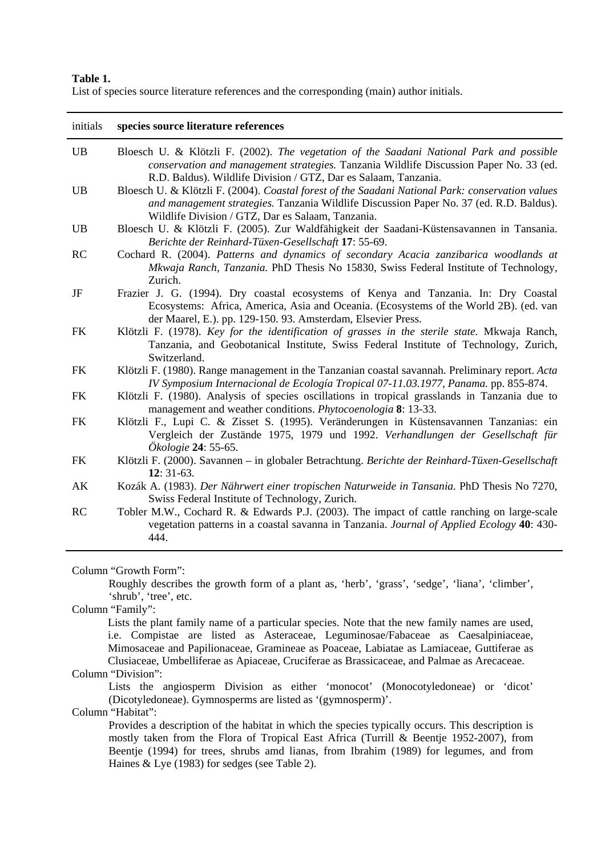# **Table 1.**

List of species source literature references and the corresponding (main) author initials.

| initials  | species source literature references                                                                                                                                                                                                                  |
|-----------|-------------------------------------------------------------------------------------------------------------------------------------------------------------------------------------------------------------------------------------------------------|
| UB        | Bloesch U. & Klötzli F. (2002). The vegetation of the Saadani National Park and possible<br>conservation and management strategies. Tanzania Wildlife Discussion Paper No. 33 (ed.<br>R.D. Baldus). Wildlife Division / GTZ, Dar es Salaam, Tanzania. |
| <b>UB</b> | Bloesch U. & Klötzli F. (2004). Coastal forest of the Saadani National Park: conservation values<br>and management strategies. Tanzania Wildlife Discussion Paper No. 37 (ed. R.D. Baldus).<br>Wildlife Division / GTZ, Dar es Salaam, Tanzania.      |
| <b>UB</b> | Bloesch U. & Klötzli F. (2005). Zur Waldfähigkeit der Saadani-Küstensavannen in Tansania.<br>Berichte der Reinhard-Tüxen-Gesellschaft 17: 55-69.                                                                                                      |
| RC        | Cochard R. (2004). Patterns and dynamics of secondary Acacia zanzibarica woodlands at<br>Mkwaja Ranch, Tanzania. PhD Thesis No 15830, Swiss Federal Institute of Technology,<br>Zurich.                                                               |
| JF        | Frazier J. G. (1994). Dry coastal ecosystems of Kenya and Tanzania. In: Dry Coastal<br>Ecosystems: Africa, America, Asia and Oceania. (Ecosystems of the World 2B). (ed. van<br>der Maarel, E.). pp. 129-150. 93. Amsterdam, Elsevier Press.          |
| <b>FK</b> | Klötzli F. (1978). Key for the identification of grasses in the sterile state. Mkwaja Ranch,<br>Tanzania, and Geobotanical Institute, Swiss Federal Institute of Technology, Zurich,<br>Switzerland.                                                  |
| <b>FK</b> | Klötzli F. (1980). Range management in the Tanzanian coastal savannah. Preliminary report. Acta<br>IV Symposium Internacional de Ecología Tropical 07-11.03.1977, Panama. pp. 855-874.                                                                |
| <b>FK</b> | Klötzli F. (1980). Analysis of species oscillations in tropical grasslands in Tanzania due to<br>management and weather conditions. <i>Phytocoenologia</i> 8: 13-33.                                                                                  |
| <b>FK</b> | Klötzli F., Lupi C. & Zisset S. (1995). Veränderungen in Küstensavannen Tanzanias: ein<br>Vergleich der Zustände 1975, 1979 und 1992. Verhandlungen der Gesellschaft für<br>Ökologie 24: 55-65.                                                       |
| <b>FK</b> | Klötzli F. (2000). Savannen – in globaler Betrachtung. Berichte der Reinhard-Tüxen-Gesellschaft<br>$12:31-63.$                                                                                                                                        |
| AK        | Kozák A. (1983). Der Nährwert einer tropischen Naturweide in Tansania. PhD Thesis No 7270,<br>Swiss Federal Institute of Technology, Zurich.                                                                                                          |
| RC        | Tobler M.W., Cochard R. & Edwards P.J. (2003). The impact of cattle ranching on large-scale<br>vegetation patterns in a coastal savanna in Tanzania. Journal of Applied Ecology 40: 430-<br>444.                                                      |

Column "Growth Form":

 Roughly describes the growth form of a plant as, 'herb', 'grass', 'sedge', 'liana', 'climber', 'shrub', 'tree', etc.

Column "Family":

Lists the plant family name of a particular species. Note that the new family names are used, i.e. Compistae are listed as Asteraceae, Leguminosae/Fabaceae as Caesalpiniaceae, Mimosaceae and Papilionaceae, Gramineae as Poaceae, Labiatae as Lamiaceae, Guttiferae as Clusiaceae, Umbelliferae as Apiaceae, Cruciferae as Brassicaceae, and Palmae as Arecaceae.

# Column "Division":

 Lists the angiosperm Division as either 'monocot' (Monocotyledoneae) or 'dicot' (Dicotyledoneae). Gymnosperms are listed as '(gymnosperm)'.

Column "Habitat":

 Provides a description of the habitat in which the species typically occurs. This description is mostly taken from the Flora of Tropical East Africa (Turrill & Beentje 1952-2007), from Beentje (1994) for trees, shrubs amd lianas, from Ibrahim (1989) for legumes, and from Haines & Lye (1983) for sedges (see Table 2).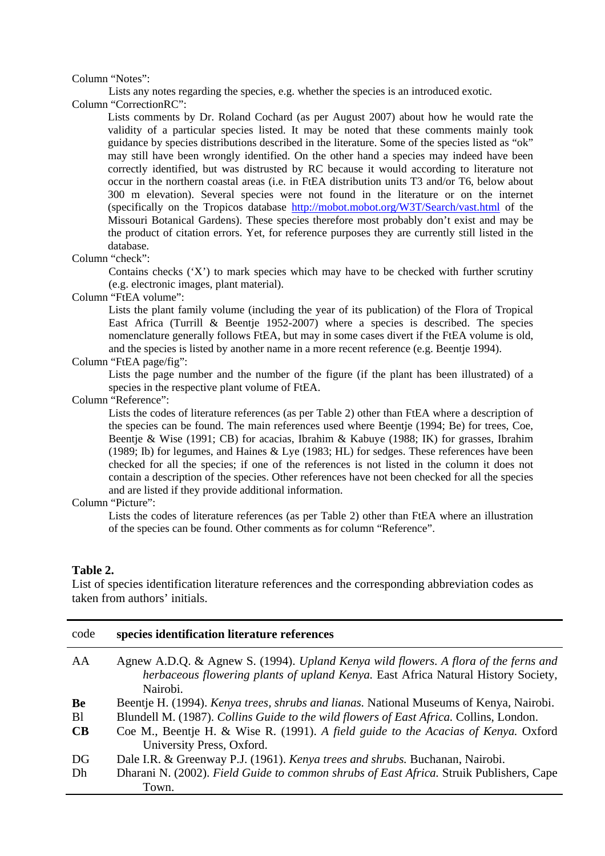#### Column "Notes":

Lists any notes regarding the species, e.g. whether the species is an introduced exotic.

Column "CorrectionRC":

Lists comments by Dr. Roland Cochard (as per August 2007) about how he would rate the validity of a particular species listed. It may be noted that these comments mainly took guidance by species distributions described in the literature. Some of the species listed as "ok" may still have been wrongly identified. On the other hand a species may indeed have been correctly identified, but was distrusted by RC because it would according to literature not occur in the northern coastal areas (i.e. in FtEA distribution units T3 and/or T6, below about 300 m elevation). Several species were not found in the literature or on the internet (specifically on the Tropicos database http://mobot.mobot.org/W3T/Search/vast.html of the Missouri Botanical Gardens). These species therefore most probably don't exist and may be the product of citation errors. Yet, for reference purposes they are currently still listed in the database.

#### Column "check":

 Contains checks ('X') to mark species which may have to be checked with further scrutiny (e.g. electronic images, plant material).

#### Column "FtEA volume":

 Lists the plant family volume (including the year of its publication) of the Flora of Tropical East Africa (Turrill & Beentje 1952-2007) where a species is described. The species nomenclature generally follows FtEA, but may in some cases divert if the FtEA volume is old, and the species is listed by another name in a more recent reference (e.g. Beentje 1994).

# Column "FtEA page/fig":

 Lists the page number and the number of the figure (if the plant has been illustrated) of a species in the respective plant volume of FtEA.

Column "Reference":

 Lists the codes of literature references (as per Table 2) other than FtEA where a description of the species can be found. The main references used where Beentje (1994; Be) for trees, Coe, Beentje & Wise (1991; CB) for acacias, Ibrahim & Kabuye (1988; IK) for grasses, Ibrahim (1989; Ib) for legumes, and Haines & Lye (1983; HL) for sedges. These references have been checked for all the species; if one of the references is not listed in the column it does not contain a description of the species. Other references have not been checked for all the species and are listed if they provide additional information.

#### Column "Picture":

 Lists the codes of literature references (as per Table 2) other than FtEA where an illustration of the species can be found. Other comments as for column "Reference".

#### **Table 2.**

List of species identification literature references and the corresponding abbreviation codes as taken from authors' initials.

| code          | species identification literature references                                                                                                                                         |
|---------------|--------------------------------------------------------------------------------------------------------------------------------------------------------------------------------------|
| AA            | Agnew A.D.Q. & Agnew S. (1994). Upland Kenya wild flowers. A flora of the ferns and<br>herbaceous flowering plants of upland Kenya. East Africa Natural History Society,<br>Nairobi. |
| Be            | Beentje H. (1994). <i>Kenya trees, shrubs and lianas</i> . National Museums of Kenya, Nairobi.                                                                                       |
| <sub>B1</sub> | Blundell M. (1987). Collins Guide to the wild flowers of East Africa. Collins, London.                                                                                               |
| CB            | Coe M., Beentje H. & Wise R. (1991). A field guide to the Acacias of Kenya. Oxford                                                                                                   |
|               | University Press, Oxford.                                                                                                                                                            |
| DG            | Dale I.R. & Greenway P.J. (1961). Kenya trees and shrubs. Buchanan, Nairobi.                                                                                                         |
| Dh            | Dharani N. (2002). Field Guide to common shrubs of East Africa. Struik Publishers, Cape                                                                                              |
|               | Town.                                                                                                                                                                                |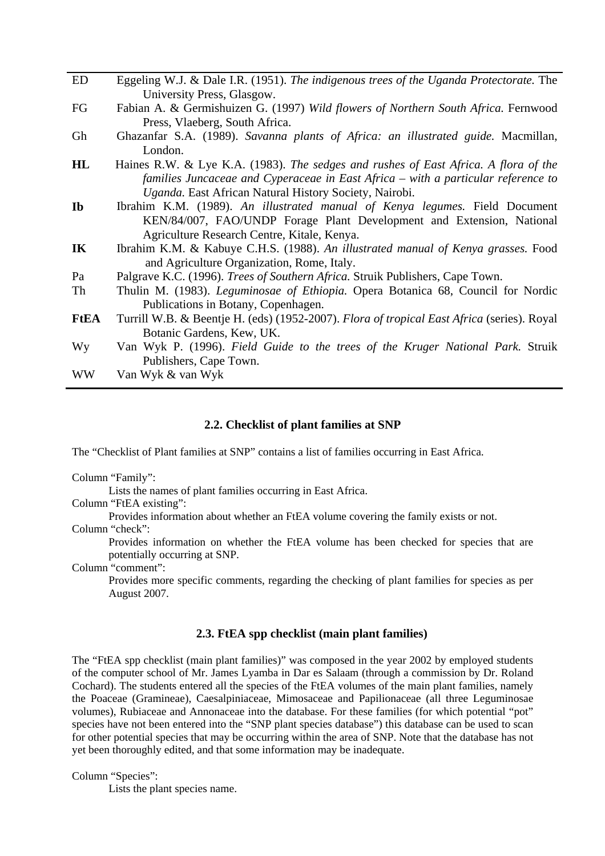| Eggeling W.J. & Dale I.R. (1951). The indigenous trees of the Uganda Protectorate. The     |
|--------------------------------------------------------------------------------------------|
| University Press, Glasgow.                                                                 |
| Fabian A. & Germishuizen G. (1997) Wild flowers of Northern South Africa. Fernwood         |
| Press, Vlaeberg, South Africa.                                                             |
| Ghazanfar S.A. (1989). Savanna plants of Africa: an illustrated guide. Macmillan,          |
| London.                                                                                    |
| Haines R.W. & Lye K.A. (1983). The sedges and rushes of East Africa. A flora of the        |
| families Juncaceae and Cyperaceae in East Africa - with a particular reference to          |
| Uganda. East African Natural History Society, Nairobi.                                     |
| Ibrahim K.M. (1989). An illustrated manual of Kenya legumes. Field Document                |
| KEN/84/007, FAO/UNDP Forage Plant Development and Extension, National                      |
| Agriculture Research Centre, Kitale, Kenya.                                                |
| Ibrahim K.M. & Kabuye C.H.S. (1988). An illustrated manual of Kenya grasses. Food          |
| and Agriculture Organization, Rome, Italy.                                                 |
| Palgrave K.C. (1996). <i>Trees of Southern Africa</i> . Struik Publishers, Cape Town.      |
| Thulin M. (1983). Leguminosae of Ethiopia. Opera Botanica 68, Council for Nordic           |
| Publications in Botany, Copenhagen.                                                        |
| Turrill W.B. & Beentje H. (eds) (1952-2007). Flora of tropical East Africa (series). Royal |
| Botanic Gardens, Kew, UK.                                                                  |
| Van Wyk P. (1996). Field Guide to the trees of the Kruger National Park. Struik            |
| Publishers, Cape Town.                                                                     |
| Van Wyk & van Wyk                                                                          |
|                                                                                            |

#### **2.2. Checklist of plant families at SNP**

The "Checklist of Plant families at SNP" contains a list of families occurring in East Africa.

Column "Family":

Lists the names of plant families occurring in East Africa.

Column "FtEA existing":

Provides information about whether an FtEA volume covering the family exists or not.

Column "check":

 Provides information on whether the FtEA volume has been checked for species that are potentially occurring at SNP.

Column "comment":

 Provides more specific comments, regarding the checking of plant families for species as per August 2007.

# **2.3. FtEA spp checklist (main plant families)**

The "FtEA spp checklist (main plant families)" was composed in the year 2002 by employed students of the computer school of Mr. James Lyamba in Dar es Salaam (through a commission by Dr. Roland Cochard). The students entered all the species of the FtEA volumes of the main plant families, namely the Poaceae (Gramineae), Caesalpiniaceae, Mimosaceae and Papilionaceae (all three Leguminosae volumes), Rubiaceae and Annonaceae into the database. For these families (for which potential "pot" species have not been entered into the "SNP plant species database") this database can be used to scan for other potential species that may be occurring within the area of SNP. Note that the database has not yet been thoroughly edited, and that some information may be inadequate.

Column "Species":

Lists the plant species name.